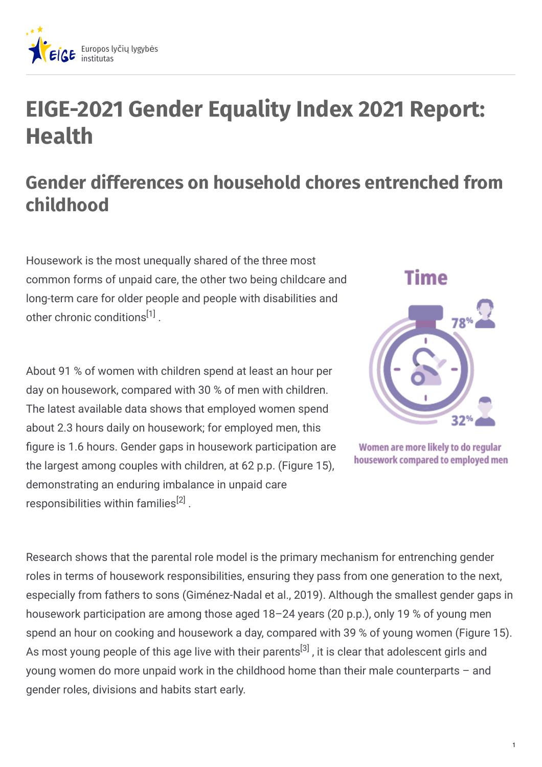

## **EIGE-2021 Gender Equality Index 2021 Report: Health**

## **Gender differences on household chores entrenched from childhood**

Housework is the most unequally shared of the three most common forms of unpaid care, the other two being childcare and long-term care for older people and people with disabilities and other chronic conditions<sup>[1]</sup>.

About 91 % of women with children spend at least an hour per day on housework, compared with 30 % of men with children. The latest available data shows that employed women spend about 2.3 hours daily on housework; for employed men, this figure is 1.6 hours. Gender gaps in housework participation are the largest among couples with children, at 62 p.p. (Figure 15), demonstrating an enduring imbalance in unpaid care responsibilities within families $^{[2]}$  .



Women are more likely to do regular housework compared to employed men

Research shows that the parental role model is the primary mechanism for entrenching gender roles in terms of housework responsibilities, ensuring they pass from one generation to the next, especially from fathers to sons (Giménez-Nadal et al., 2019). Although the smallest gender gaps in housework participation are among those aged 18–24 years (20 p.p.), only 19 % of young men spend an hour on cooking and housework a day, compared with 39 % of young women (Figure 15). As most young people of this age live with their parents<sup>[3]</sup> , it is clear that adolescent girls and young women do more unpaid work in the childhood home than their male counterparts – and gender roles, divisions and habits start early.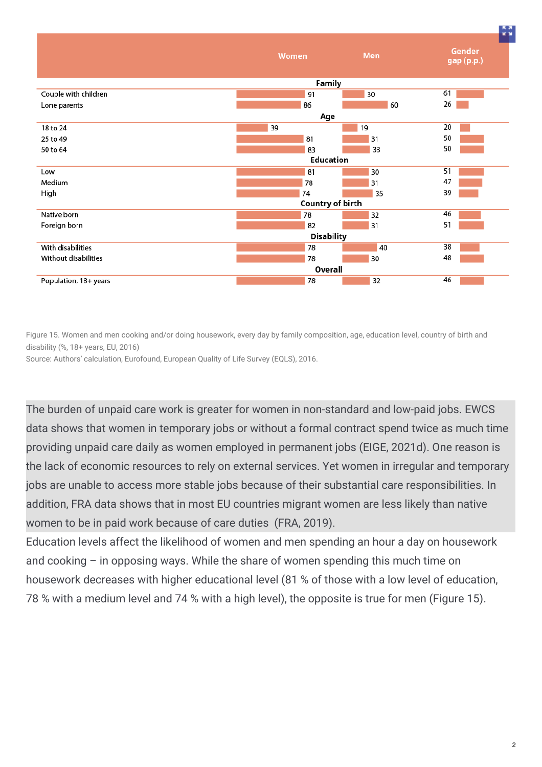

Figure 15. Women and men cooking and/or doing housework, every day by family composition, age, education level, country of birth and disability (%, 18+ years, EU, 2016)

Source: Authors' calculation, Eurofound, European Quality of Life Survey (EQLS), 2016.

The burden of unpaid care work is greater for women in non-standard and low-paid jobs. EWCS data shows that women in temporary jobs or without a formal contract spend twice as much time providing unpaid care daily as women employed in permanent jobs (EIGE, 2021d). One reason is the lack of economic resources to rely on external services. Yet women in irregular and temporary jobs are unable to access more stable jobs because of their substantial care responsibilities. In addition, FRA data shows that in most EU countries migrant women are less likely than native women to be in paid work because of care duties (FRA, 2019).

Education levels affect the likelihood of women and men spending an hour a day on housework and cooking – in opposing ways. While the share of women spending this much time on housework decreases with higher educational level (81 % of those with a low level of education, 78 % with a medium level and 74 % with a high level), the opposite is true for men (Figure 15).